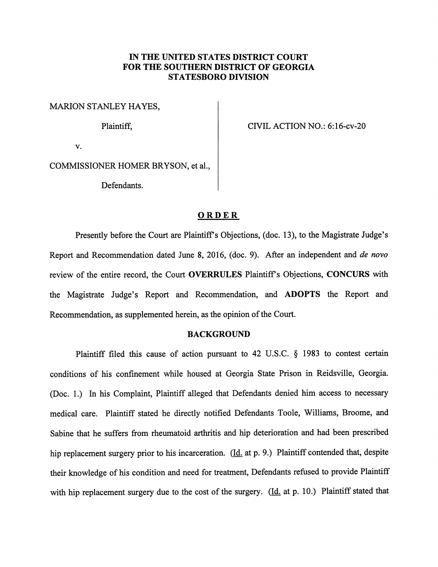# *IN THE UNITED STATES DISTRICT COURT FOR THE SOUTHERN DISTRICT OF GEORGIA STATESBORO DIVISION*

MARION STANLEY HAYES,

Plaintiff,

CIVIL ACTION NO.: 6:16-cv-20

v.

COMMISSIONER HOMER BRYSON, et al,

Defendants.

### *ORDER*

Presently before the Court are Plaintiff's Objections, (doc. 13), to the Magistrate Judge's Report and Recommendation dated June 8, 2016, (doc. 9). After an independent and **de novo** review of the entire record, the Court *OVERRULES* Plaintiffs Objections, *CONCURS* with the Magistrate Judge's Report and Recommendation, and *ADOPTS* the Report and Recommendation, as supplemented herein, as the opinion of the Court.

#### BACKGROUND

Plaintiff filed this cause of action pursuant to 42 U.S.C. § 1983 to contest certain conditions of his confinement while housed at Georgia State Prison in Reidsville, Georgia. (Doc. 1.) In his Complaint, Plaintiff alleged that Defendants denied him access to necessary medical care. Plaintiff stated he directly notified Defendants Toole, Williams, Broome, and Sabine that he suffers from rheumatoid arthritis and hip deterioration and had been prescribed hip replacement surgery prior to his incarceration. (Id. at p. 9.) Plaintiff contended that, despite their knowledge of his condition and need for treatment, Defendants refused to provide Plaintiff with hip replacement surgery due to the cost of the surgery. ( $\underline{Id}$ , at p. 10.) Plaintiff stated that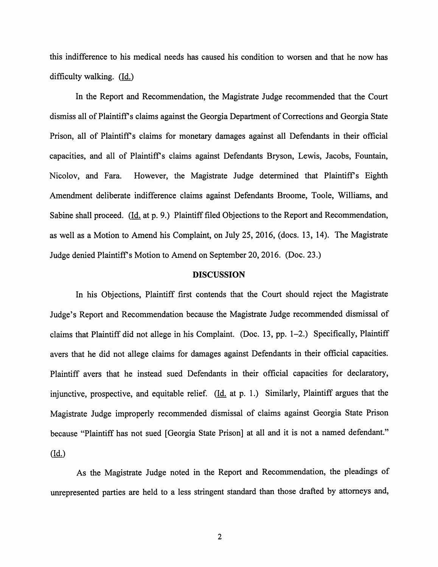this indifference to his medical needs has caused his condition to worsen and that he now has difficulty walking. (Id.)

In the Report and Recommendation, the Magistrate Judge recommended that the Court dismiss all of Plaintiff's claims against the Georgia Department of Corrections and Georgia State Prison, all of Plaintiffs claims for monetary damages against all Defendants in their official capacities, and all of Plaintiffs claims against Defendants Bryson, Lewis, Jacobs, Fountain, Nicolov, and Fara. However, the Magistrate Judge determined that Plaintiff's Eighth Amendment deliberate indifference claims against Defendants Broome, Toole, Williams, and Sabine shall proceed. (Id. at p. 9.) Plaintiff filed Objections to the Report and Recommendation, as well as a Motion to Amend his Complaint, on July 25, 2016, (docs. 13, 14). The Magistrate Judge denied Plaintiffs Motion to Amend on September 20, 2016. (Doc. 23.)

## *DISCUSSION*

In his Objections, Plaintiff first contends that the Court should reject the Magistrate Judge's Report and Recommendation because the Magistrate Judge recommended dismissal of claims that Plaintiff did not allege in his Complaint. (Doc. 13, pp. 1-2.) Specifically, Plaintiff avers that he did not allege claims for damages against Defendants in their official capacities. Plaintiff avers that he instead sued Defendants in their official capacities for declaratory, injunctive, prospective, and equitable relief.  $(Id. at p. 1.)$  Similarly, Plaintiff argues that the Magistrate Judge improperly recommended dismissal of claims against Georgia State Prison because "Plaintiff has not sued [Georgia State Prison] at all and it is not a named defendant." *(14)*

As the Magistrate Judge noted in the Report and Recommendation, the pleadings of unrepresented parties are held to a less stringent standard than those drafted by attorneys and,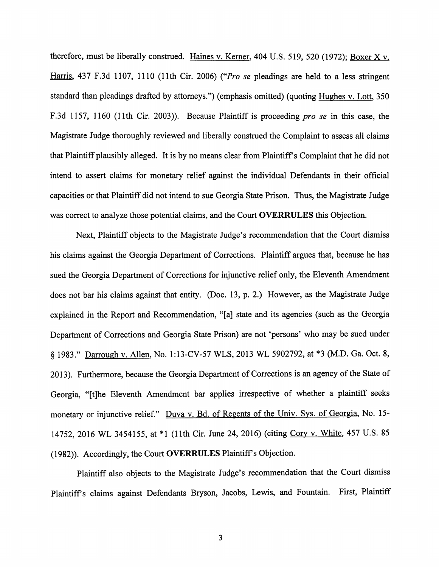therefore, must be liberally construed. Haines v. Kerner, 404 U.S. 519, 520 (1972); Boxer X v. Harris. 437 F.3d 1107, 1110 (11th Cir. 2006) **("Pro se** pleadings are held to a less stringent standard than pleadings drafted by attorneys.") (emphasis omitted) (quoting Hughes v. Lott, 350 F.3d 1157, 1160 (11th Cir. 2003)). Because Plaintiff is proceeding **pro se** in this case, the Magistrate Judge thoroughly reviewed and liberally construed the Complaint to assess all claims that Plaintiff plausibly alleged. It is by no means clear from Plaintiff's Complaint that he did not intend to assert claims for monetary relief against the individual Defendants in their official capacities or that Plaintiff did not intend to sue Georgia State Prison. Thus, the Magistrate Judge was correct to analyze those potential claims, and the Court *OVERRULES* this Objection.

Next, Plaintiff objects to the Magistrate Judge's recommendation that the Court dismiss his claims against the Georgia Department of Corrections. Plaintiff argues that, because he has sued the Georgia Department of Corrections for injunctive relief only, the Eleventh Amendment does not bar his claims against that entity. (Doc. 13, p. 2.) However, as the Magistrate Judge explained in the Report and Recommendation, "[a] state and its agencies (such as the Georgia Department of Corrections and Georgia State Prison) are not 'persons' who may be sued under § 1983." Darrough v. Allen, No. 1:13-CV-57 WLS, 2013 WL 5902792, at \*3 (M.D. Ga. Oct. 8, 2013). Furthermore, because the Georgia Department of Corrections is an agency of the State of Georgia, "[t]he Eleventh Amendment bar applies irrespective of whether a plaintiff seeks monetary or injunctive relief." Duva v. Bd. of Regents of the Univ. Sys. of Georgia, No. 15-14752, 2016 WL 3454155, at \*1 (11th Cir. June 24, 2016) (citing Cory v. White, 457 U.S. 85 (1982)). Accordingly, the Court **OVERRULES** Plaintiff's Objection.

Plaintiff also objects to the Magistrate Judge's recommendation that the Court dismiss Plaintiffs claims against Defendants Bryson, Jacobs, Lewis, and Fountain. First, Plaintiff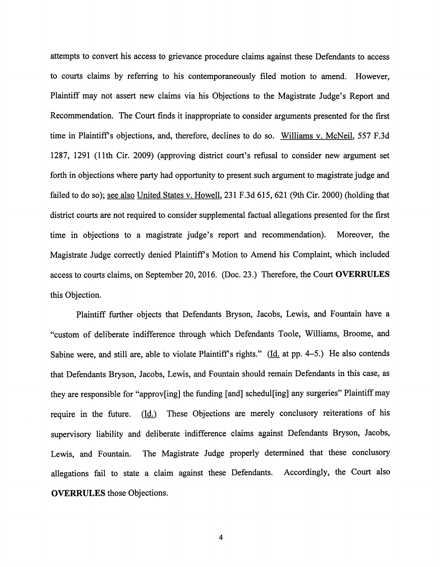attempts to convert his access to grievance procedure claims against these Defendants to access to courts claims by referring to his contemporaneously filed motion to amend. However, Plaintiff may not assert new claims via his Objections to the Magistrate Judge's Report and Recommendation. The Court finds it inappropriate to consider arguments presented for the first time in Plaintiff's objections, and, therefore, declines to do so. Williams v. McNeil, 557 F.3d 1287, 1291 (11th Cir. 2009) (approving district court's refusal to consider new argument set forth in objections where party had opportunity to present such argument to magistrate judge and failed to do so); see also United States v. Howell, 231 F.3d 615, 621 (9th Cir. 2000) (holding that district courts are not required to consider supplemental factual allegations presented for the first time in objections to a magistrate judge's report and recommendation). Moreover, the Magistrate Judge correctly denied Plaintiffs Motion to Amend his Complaint, which included access to courts claims, on September 20, 2016. (Doc. 23.) Therefore, the Court *OVERRULES* this Objection.

Plaintiff further objects that Defendants Bryson, Jacobs, Lewis, and Fountain have a "custom of deliberate indifference through which Defendants Toole, Williams, Broome, and Sabine were, and still are, able to violate Plaintiff's rights." ( $\underline{Id}$  at pp. 4-5.) He also contends that Defendants Bryson, Jacobs, Lewis, and Fountain should remain Defendants in this case, as they are responsible for "approv[ing] the funding [and] schedul[ing] any surgeries" Plaintiff may require in the future. (Id.) These Objections are merely conclusory reiterations of his supervisory liability and deliberate indifference claims against Defendants Bryson, Jacobs, Lewis, and Fountain. The Magistrate Judge properly determined that these conclusory allegations fail to state a claim against these Defendants. Accordingly, the Court also *OVERRULES* those Objections.

 $\overline{\mathbf{4}}$